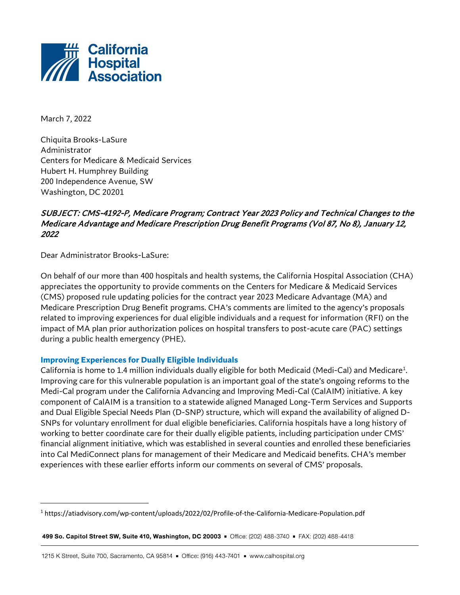

March 7, 2022

Chiquita Brooks-LaSure Administrator Centers for Medicare & Medicaid Services Hubert H. Humphrey Building 200 Independence Avenue, SW Washington, DC 20201

# SUBJECT: CMS-4192-P, Medicare Program; Contract Year 2023 Policy and Technical Changes to the Medicare Advantage and Medicare Prescription Drug Benefit Programs (Vol 87, No 8), January 12, 2022

Dear Administrator Brooks-LaSure:

On behalf of our more than 400 hospitals and health systems, the California Hospital Association (CHA) appreciates the opportunity to provide comments on the Centers for Medicare & Medicaid Services (CMS) proposed rule updating policies for the contract year 2023 Medicare Advantage (MA) and Medicare Prescription Drug Benefit programs. CHA's comments are limited to the agency's proposals related to improving experiences for dual eligible individuals and a request for information (RFI) on the impact of MA plan prior authorization polices on hospital transfers to post-acute care (PAC) settings during a public health emergency (PHE).

#### **Improving Experiences for Dually Eligible Individuals**

California is home to [1](#page-0-0).4 million individuals dually eligible for both Medicaid (Medi-Cal) and Medicare<sup>1</sup>. Improving care for this vulnerable population is an important goal of the state's ongoing reforms to the Medi-Cal program under the California Advancing and Improving Medi-Cal (CalAIM) initiative. A key component of CalAIM is a transition to a statewide aligned Managed Long-Term Services and Supports and Dual Eligible Special Needs Plan (D-SNP) structure, which will expand the availability of aligned D-SNPs for voluntary enrollment for dual eligible beneficiaries. California hospitals have a long history of working to better coordinate care for their dually eligible patients, including participation under CMS' financial alignment initiative, which was established in several counties and enrolled these beneficiaries into Cal MediConnect plans for management of their Medicare and Medicaid benefits. CHA's member experiences with these earlier efforts inform our comments on several of CMS' proposals.

<span id="page-0-0"></span><sup>1</sup> https://atiadvisory.com/wp-content/uploads/2022/02/Profile-of-the-California-Medicare-Population.pdf

<sup>499</sup> So. Capitol Street SW, Suite 410, Washington, DC 20003 = Office: (202) 488-3740 = FAX: (202) 488-4418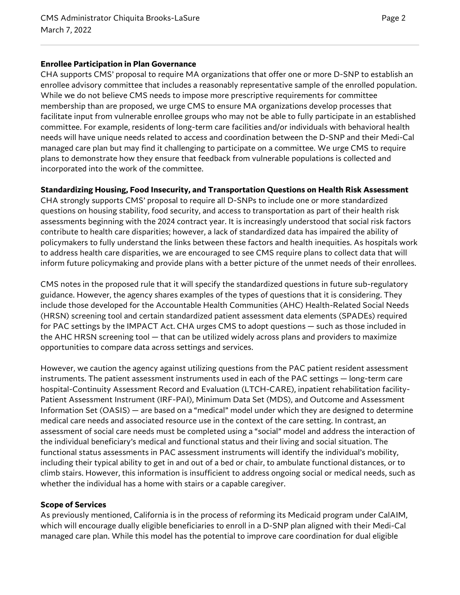#### **Enrollee Participation in Plan Governance**

CHA supports CMS' proposal to require MA organizations that offer one or more D-SNP to establish an enrollee advisory committee that includes a reasonably representative sample of the enrolled population. While we do not believe CMS needs to impose more prescriptive requirements for committee membership than are proposed, we urge CMS to ensure MA organizations develop processes that facilitate input from vulnerable enrollee groups who may not be able to fully participate in an established committee. For example, residents of long-term care facilities and/or individuals with behavioral health needs will have unique needs related to access and coordination between the D-SNP and their Medi-Cal managed care plan but may find it challenging to participate on a committee. We urge CMS to require plans to demonstrate how they ensure that feedback from vulnerable populations is collected and incorporated into the work of the committee.

### **Standardizing Housing, Food Insecurity, and Transportation Questions on Health Risk Assessment**

CHA strongly supports CMS' proposal to require all D-SNPs to include one or more standardized questions on housing stability, food security, and access to transportation as part of their health risk assessments beginning with the 2024 contract year. It is increasingly understood that social risk factors contribute to health care disparities; however, a lack of standardized data has impaired the ability of policymakers to fully understand the links between these factors and health inequities. As hospitals work to address health care disparities, we are encouraged to see CMS require plans to collect data that will inform future policymaking and provide plans with a better picture of the unmet needs of their enrollees.

CMS notes in the proposed rule that it will specify the standardized questions in future sub-regulatory guidance. However, the agency shares examples of the types of questions that it is considering. They include those developed for the Accountable Health Communities (AHC) Health-Related Social Needs (HRSN) screening tool and certain standardized patient assessment data elements (SPADEs) required for PAC settings by the IMPACT Act. CHA urges CMS to adopt questions — such as those included in the AHC HRSN screening tool — that can be utilized widely across plans and providers to maximize opportunities to compare data across settings and services.

However, we caution the agency against utilizing questions from the PAC patient resident assessment instruments. The patient assessment instruments used in each of the PAC settings — long-term care hospital-Continuity Assessment Record and Evaluation (LTCH-CARE), inpatient rehabilitation facility-Patient Assessment Instrument (IRF-PAI), Minimum Data Set (MDS), and Outcome and Assessment Information Set (OASIS) — are based on a "medical" model under which they are designed to determine medical care needs and associated resource use in the context of the care setting. In contrast, an assessment of social care needs must be completed using a "social" model and address the interaction of the individual beneficiary's medical and functional status and their living and social situation. The functional status assessments in PAC assessment instruments will identify the individual's mobility, including their typical ability to get in and out of a bed or chair, to ambulate functional distances, or to climb stairs. However, this information is insufficient to address ongoing social or medical needs, such as whether the individual has a home with stairs or a capable caregiver.

#### **Scope of Services**

As previously mentioned, California is in the process of reforming its Medicaid program under CalAIM, which will encourage dually eligible beneficiaries to enroll in a D-SNP plan aligned with their Medi-Cal managed care plan. While this model has the potential to improve care coordination for dual eligible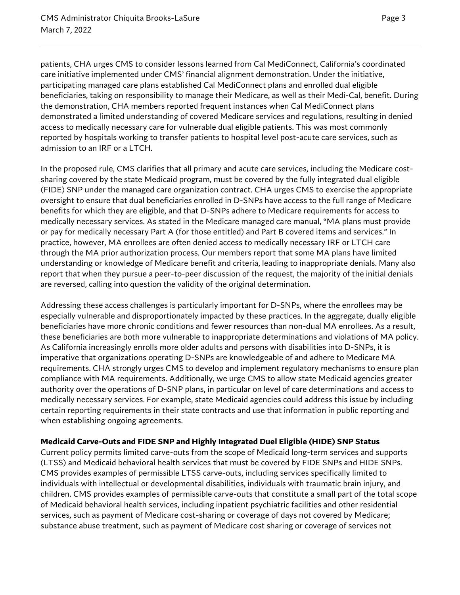patients, CHA urges CMS to consider lessons learned from Cal MediConnect, California's coordinated care initiative implemented under CMS' financial alignment demonstration. Under the initiative, participating managed care plans established Cal MediConnect plans and enrolled dual eligible beneficiaries, taking on responsibility to manage their Medicare, as well as their Medi-Cal, benefit. During the demonstration, CHA members reported frequent instances when Cal MediConnect plans demonstrated a limited understanding of covered Medicare services and regulations, resulting in denied access to medically necessary care for vulnerable dual eligible patients. This was most commonly reported by hospitals working to transfer patients to hospital level post-acute care services, such as admission to an IRF or a LTCH.

In the proposed rule, CMS clarifies that all primary and acute care services, including the Medicare costsharing covered by the state Medicaid program, must be covered by the fully integrated dual eligible (FIDE) SNP under the managed care organization contract. CHA urges CMS to exercise the appropriate oversight to ensure that dual beneficiaries enrolled in D-SNPs have access to the full range of Medicare benefits for which they are eligible, and that D-SNPs adhere to Medicare requirements for access to medically necessary services. As stated in the Medicare managed care manual, "MA plans must provide or pay for medically necessary Part A (for those entitled) and Part B covered items and services." In practice, however, MA enrollees are often denied access to medically necessary IRF or LTCH care through the MA prior authorization process. Our members report that some MA plans have limited understanding or knowledge of Medicare benefit and criteria, leading to inappropriate denials. Many also report that when they pursue a peer-to-peer discussion of the request, the majority of the initial denials are reversed, calling into question the validity of the original determination.

Addressing these access challenges is particularly important for D-SNPs, where the enrollees may be especially vulnerable and disproportionately impacted by these practices. In the aggregate, dually eligible beneficiaries have more chronic conditions and fewer resources than non-dual MA enrollees. As a result, these beneficiaries are both more vulnerable to inappropriate determinations and violations of MA policy. As California increasingly enrolls more older adults and persons with disabilities into D-SNPs, it is imperative that organizations operating D-SNPs are knowledgeable of and adhere to Medicare MA requirements. CHA strongly urges CMS to develop and implement regulatory mechanisms to ensure plan compliance with MA requirements. Additionally, we urge CMS to allow state Medicaid agencies greater authority over the operations of D-SNP plans, in particular on level of care determinations and access to medically necessary services. For example, state Medicaid agencies could address this issue by including certain reporting requirements in their state contracts and use that information in public reporting and when establishing ongoing agreements.

### **Medicaid Carve-Outs and FIDE SNP and Highly Integrated Duel Eligible (HIDE) SNP Status**

Current policy permits limited carve-outs from the scope of Medicaid long-term services and supports (LTSS) and Medicaid behavioral health services that must be covered by FIDE SNPs and HIDE SNPs. CMS provides examples of permissible LTSS carve-outs, including services specifically limited to individuals with intellectual or developmental disabilities, individuals with traumatic brain injury, and children. CMS provides examples of permissible carve-outs that constitute a small part of the total scope of Medicaid behavioral health services, including inpatient psychiatric facilities and other residential services, such as payment of Medicare cost-sharing or coverage of days not covered by Medicare; substance abuse treatment, such as payment of Medicare cost sharing or coverage of services not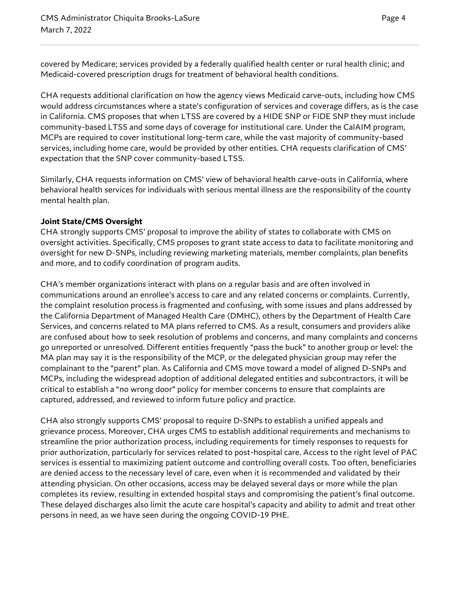covered by Medicare; services provided by a federally qualified health center or rural health clinic; and Medicaid-covered prescription drugs for treatment of behavioral health conditions.

CHA requests additional clarification on how the agency views Medicaid carve-outs, including how CMS would address circumstances where a state's configuration of services and coverage differs, as is the case in California. CMS proposes that when LTSS are covered by a HIDE SNP or FIDE SNP they must include community-based LTSS and some days of coverage for institutional care. Under the CalAIM program, MCPs are required to cover institutional long-term care, while the vast majority of community-based services, including home care, would be provided by other entities. CHA requests clarification of CMS' expectation that the SNP cover community-based LTSS.

Similarly, CHA requests information on CMS' view of behavioral health carve-outs in California, where behavioral health services for individuals with serious mental illness are the responsibility of the county mental health plan.

## **Joint State/CMS Oversight**

CHA strongly supports CMS' proposal to improve the ability of states to collaborate with CMS on oversight activities. Specifically, CMS proposes to grant state access to data to facilitate monitoring and oversight for new D-SNPs, including reviewing marketing materials, member complaints, plan benefits and more, and to codify coordination of program audits.

CHA's member organizations interact with plans on a regular basis and are often involved in communications around an enrollee's access to care and any related concerns or complaints. Currently, the complaint resolution process is fragmented and confusing, with some issues and plans addressed by the California Department of Managed Health Care (DMHC), others by the Department of Health Care Services, and concerns related to MA plans referred to CMS. As a result, consumers and providers alike are confused about how to seek resolution of problems and concerns, and many complaints and concerns go unreported or unresolved. Different entities frequently "pass the buck" to another group or level: the MA plan may say it is the responsibility of the MCP, or the delegated physician group may refer the complainant to the "parent" plan. As California and CMS move toward a model of aligned D-SNPs and MCPs, including the widespread adoption of additional delegated entities and subcontractors, it will be critical to establish a "no wrong door" policy for member concerns to ensure that complaints are captured, addressed, and reviewed to inform future policy and practice.

CHA also strongly supports CMS' proposal to require D-SNPs to establish a unified appeals and grievance process. Moreover, CHA urges CMS to establish additional requirements and mechanisms to streamline the prior authorization process, including requirements for timely responses to requests for prior authorization, particularly for services related to post-hospital care. Access to the right level of PAC services is essential to maximizing patient outcome and controlling overall costs. Too often, beneficiaries are denied access to the necessary level of care, even when it is recommended and validated by their attending physician. On other occasions, access may be delayed several days or more while the plan completes its review, resulting in extended hospital stays and compromising the patient's final outcome. These delayed discharges also limit the acute care hospital's capacity and ability to admit and treat other persons in need, as we have seen during the ongoing COVID-19 PHE.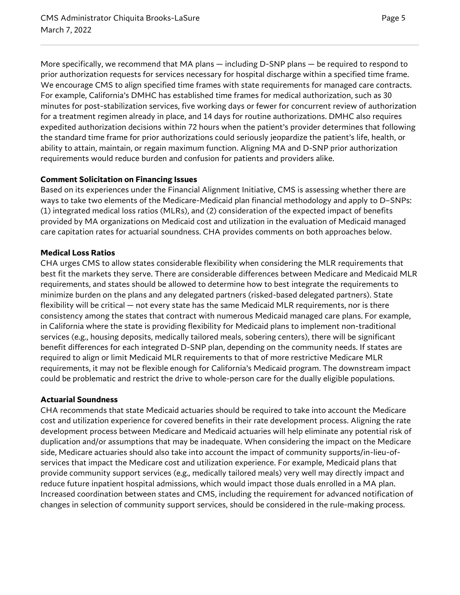More specifically, we recommend that MA plans — including D-SNP plans — be required to respond to prior authorization requests for services necessary for hospital discharge within a specified time frame. We encourage CMS to align specified time frames with state requirements for managed care contracts. For example, California's DMHC has established time frames for medical authorization, such as 30 minutes for post-stabilization services, five working days or fewer for concurrent review of authorization for a treatment regimen already in place, and 14 days for routine authorizations. DMHC also requires expedited authorization decisions within 72 hours when the patient's provider determines that following the standard time frame for prior authorizations could seriously jeopardize the patient's life, health, or ability to attain, maintain, or regain maximum function. Aligning MA and D-SNP prior authorization requirements would reduce burden and confusion for patients and providers alike.

### **Comment Solicitation on Financing Issues**

Based on its experiences under the Financial Alignment Initiative, CMS is assessing whether there are ways to take two elements of the Medicare-Medicaid plan financial methodology and apply to D–SNPs: (1) integrated medical loss ratios (MLRs), and (2) consideration of the expected impact of benefits provided by MA organizations on Medicaid cost and utilization in the evaluation of Medicaid managed care capitation rates for actuarial soundness. CHA provides comments on both approaches below.

## **Medical Loss Ratios**

CHA urges CMS to allow states considerable flexibility when considering the MLR requirements that best fit the markets they serve. There are considerable differences between Medicare and Medicaid MLR requirements, and states should be allowed to determine how to best integrate the requirements to minimize burden on the plans and any delegated partners (risked-based delegated partners). State flexibility will be critical — not every state has the same Medicaid MLR requirements, nor is there consistency among the states that contract with numerous Medicaid managed care plans. For example, in California where the state is providing flexibility for Medicaid plans to implement non-traditional services (e.g., housing deposits, medically tailored meals, sobering centers), there will be significant benefit differences for each integrated D-SNP plan, depending on the community needs. If states are required to align or limit Medicaid MLR requirements to that of more restrictive Medicare MLR requirements, it may not be flexible enough for California's Medicaid program. The downstream impact could be problematic and restrict the drive to whole-person care for the dually eligible populations.

### **Actuarial Soundness**

CHA recommends that state Medicaid actuaries should be required to take into account the Medicare cost and utilization experience for covered benefits in their rate development process. Aligning the rate development process between Medicare and Medicaid actuaries will help eliminate any potential risk of duplication and/or assumptions that may be inadequate. When considering the impact on the Medicare side, Medicare actuaries should also take into account the impact of community supports/in-lieu-ofservices that impact the Medicare cost and utilization experience. For example, Medicaid plans that provide community support services (e.g., medically tailored meals) very well may directly impact and reduce future inpatient hospital admissions, which would impact those duals enrolled in a MA plan. Increased coordination between states and CMS, including the requirement for advanced notification of changes in selection of community support services, should be considered in the rule-making process.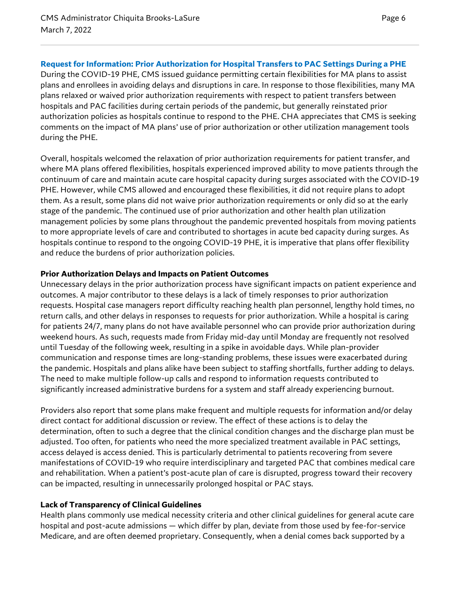# **Request for Information: Prior Authorization for Hospital Transfers to PAC Settings During a PHE**

During the COVID-19 PHE, CMS issued guidance permitting certain flexibilities for MA plans to assist plans and enrollees in avoiding delays and disruptions in care. In response to those flexibilities, many MA plans relaxed or waived prior authorization requirements with respect to patient transfers between hospitals and PAC facilities during certain periods of the pandemic, but generally reinstated prior authorization policies as hospitals continue to respond to the PHE. CHA appreciates that CMS is seeking comments on the impact of MA plans' use of prior authorization or other utilization management tools during the PHE.

Overall, hospitals welcomed the relaxation of prior authorization requirements for patient transfer, and where MA plans offered flexibilities, hospitals experienced improved ability to move patients through the continuum of care and maintain acute care hospital capacity during surges associated with the COVID-19 PHE. However, while CMS allowed and encouraged these flexibilities, it did not require plans to adopt them. As a result, some plans did not waive prior authorization requirements or only did so at the early stage of the pandemic. The continued use of prior authorization and other health plan utilization management policies by some plans throughout the pandemic prevented hospitals from moving patients to more appropriate levels of care and contributed to shortages in acute bed capacity during surges. As hospitals continue to respond to the ongoing COVID-19 PHE, it is imperative that plans offer flexibility and reduce the burdens of prior authorization policies.

### **Prior Authorization Delays and Impacts on Patient Outcomes**

Unnecessary delays in the prior authorization process have significant impacts on patient experience and outcomes. A major contributor to these delays is a lack of timely responses to prior authorization requests. Hospital case managers report difficulty reaching health plan personnel, lengthy hold times, no return calls, and other delays in responses to requests for prior authorization. While a hospital is caring for patients 24/7, many plans do not have available personnel who can provide prior authorization during weekend hours. As such, requests made from Friday mid-day until Monday are frequently not resolved until Tuesday of the following week, resulting in a spike in avoidable days. While plan-provider communication and response times are long-standing problems, these issues were exacerbated during the pandemic. Hospitals and plans alike have been subject to staffing shortfalls, further adding to delays. The need to make multiple follow-up calls and respond to information requests contributed to significantly increased administrative burdens for a system and staff already experiencing burnout.

Providers also report that some plans make frequent and multiple requests for information and/or delay direct contact for additional discussion or review. The effect of these actions is to delay the determination, often to such a degree that the clinical condition changes and the discharge plan must be adjusted. Too often, for patients who need the more specialized treatment available in PAC settings, access delayed is access denied. This is particularly detrimental to patients recovering from severe manifestations of COVID-19 who require interdisciplinary and targeted PAC that combines medical care and rehabilitation. When a patient's post-acute plan of care is disrupted, progress toward their recovery can be impacted, resulting in unnecessarily prolonged hospital or PAC stays.

# **Lack of Transparency of Clinical Guidelines**

Health plans commonly use medical necessity criteria and other clinical guidelines for general acute care hospital and post-acute admissions — which differ by plan, deviate from those used by fee-for-service Medicare, and are often deemed proprietary. Consequently, when a denial comes back supported by a